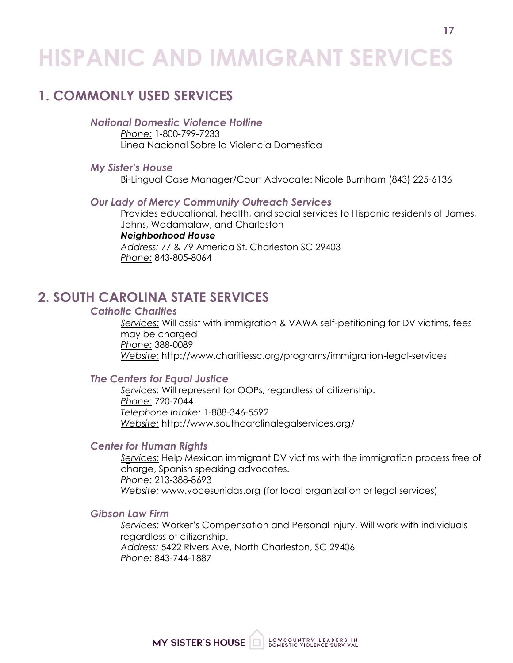# **HISPANIC AND IMMIGRANT SERVICES**

## **1. COMMONLY USED SERVICES**

### *National Domestic Violence Hotline*

*Phone:* 1-800-799-7233 Linea Nacional Sobre la Violencia Domestica

#### *My Sister's House*

Bi-Lingual Case Manager/Court Advocate: Nicole Burnham (843) 225-6136

#### *Our Lady of Mercy Community Outreach Services*

Provides educational, health, and social services to Hispanic residents of James, Johns, Wadamalaw, and Charleston *Neighborhood House*

*Address:* 77 & 79 America St. Charleston SC 29403 *Phone:* 843-805-8064

## **2. SOUTH CAROLINA STATE SERVICES**

#### *Catholic Charities*

*Services:* Will assist with immigration & VAWA self-petitioning for DV victims, fees may be charged *Phone:* 388-0089 *Website:* <http://www.charitiessc.org/programs/immigration-legal-services>

#### *The Centers for Equal Justice*

*Services:* Will represent for OOPs, regardless of citizenship. *Phone:* 720-7044 *Telephone Intake:* 1-888-346-5592 *Website:* <http://www.southcarolinalegalservices.org/>

#### *Center for Human Rights*

*Services:* Help Mexican immigrant DV victims with the immigration process free of charge, Spanish speaking advocates. *Phone:* 213-388-8693 *Website:* [www.vocesunidas.org](http://www.vocesunidas.org/) (for local organization or legal services)

#### *Gibson Law Firm*

*Services:* Worker's Compensation and Personal Injury. Will work with individuals regardless of citizenship. *Address:* 5422 Rivers Ave, North Charleston, SC 29406 *Phone:* 843-744-1887